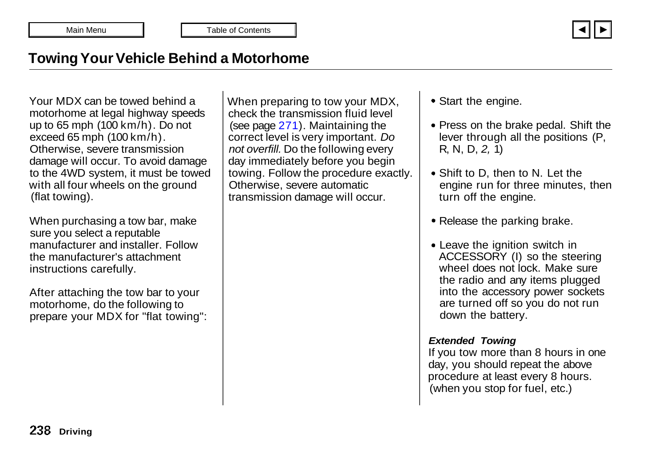

# <span id="page-0-0"></span>**Towing Your Vehicle Behind a Motorhome**

Your MDX can be towed behind a motorhome at legal highway speeds up to 65 mph (100 km/h). Do not exceed 65 mph (100 km/h). Otherwise, severe transmission damage will occur. To avoid damage to the 4WD system, it must be towed with all four wheels on the ground (flat towing).

When purchasing a tow bar, make sure you select a reputable manufacturer and installer. Follow the manufacturer's attachment instructions carefully.

After attaching the tow bar to your motorhome, do the following to prepare your MDX for "flat towing": When preparing to tow your MDX, check the transmission fluid level (see page [271\)](#page-1-0). Maintaining the correct level is very important. *Do not overfill.* Do the following every day immediately before you begin towing. Follow the procedure exactly. Otherwise, severe automatic transmission damage will occur.

Start the engine.

- Press on the brake pedal. Shift the lever through all the positions (P, R, N, D, *2,* 1)
- Shift to D, then to N. Let the engine run for three minutes, then turn off the engine.
- Release the parking brake.
- Leave the ignition switch in ACCESSORY (I) so the steering wheel does not lock. Make sure the radio and any items plugged into the accessory power sockets are turned off so you do not run down the battery.

#### *Extended Towing*

If you tow more than 8 hours in one day, you should repeat the above procedure at least every 8 hours. (when you stop for fuel, etc.)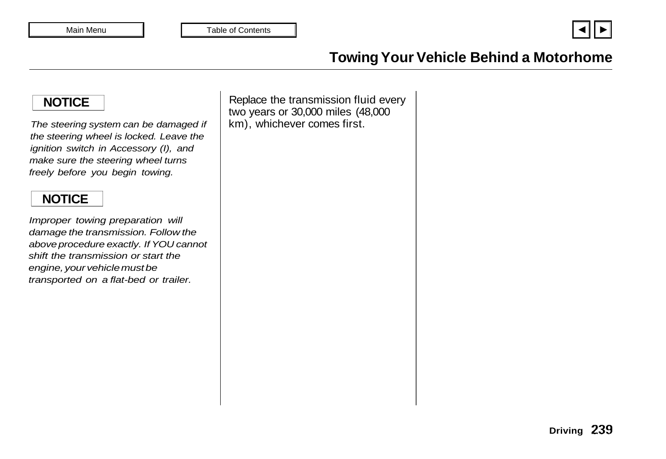

# **Towing Your Vehicle Behind a Motorhome**

# <span id="page-1-0"></span>**NOTICE**

*The steering system can be damaged if the steering wheel is locked. Leave the ignition switch in Accessory (I), and make sure the steering wheel turns freely before you begin towing.*

# **NOTICE**

*Improper towing preparation will damage the transmission. Follow the above procedure exactly. If YOU cannot shift the transmission or start the engine, your vehicle must be transported on a flat-bed or trailer.*

Replace the transmission fluid every two years or 30,000 miles (48,000 km), whichever comes first.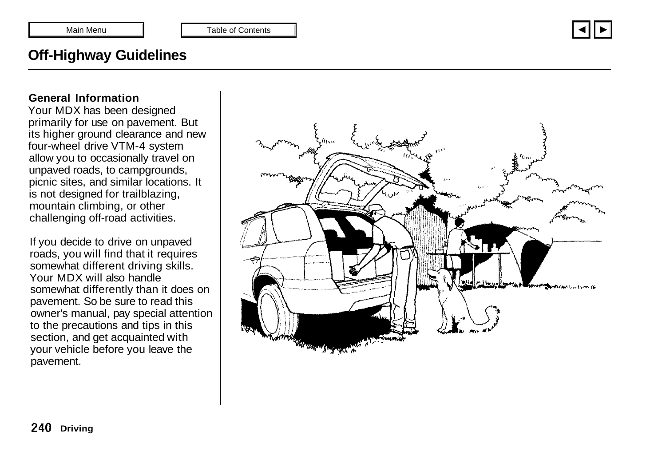

# <span id="page-2-0"></span>**Off-Highway Guidelines**

#### **General Information**

Your MDX has been designed primarily for use on pavement. But its higher ground clearance and new four-wheel drive VTM-4 system allow you to occasionally travel on unpaved roads, to campgrounds, picnic sites, and similar locations. It is not designed for trailblazing, mountain climbing, or other challenging off-road activities.

If you decide to drive on unpaved roads, you will find that it requires somewhat different driving skills. Your MDX will also handle somewhat differently than it does on pavement. So be sure to read this owner's manual, pay special attention to the precautions and tips in this section, and get acquainted with your vehicle before you leave the pavement.

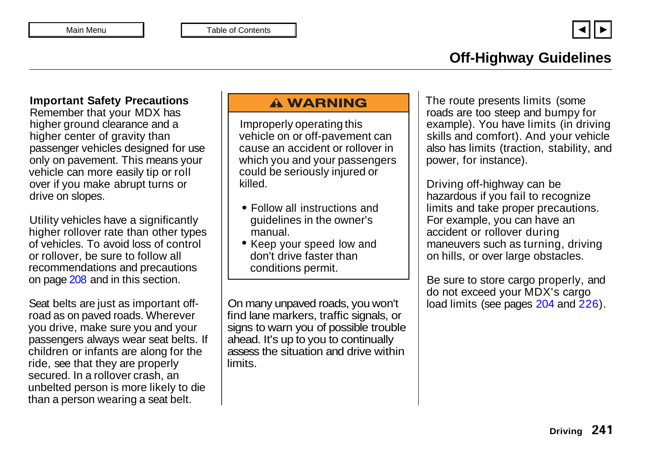#### **Off-Highway Guidelines**  $\overline{\phantom{a}}$  of others, and the safety of others, and the safety of others, and the safety of others, and the safety of others, and the safety of others, and the safety of others, and the safety of others, and the safety o You will find this important safety information in a variety of forms,

#### **Important Safety Precautions**

Remember that your MDX has higher ground clearance and a higher center of gravity than passenger vehicles designed for use only on pavement. This means your vehicle can more easily tip or roll over if you make abrupt turns or drive on slopes.

Utility vehicles have a significantly higher rollover rate than other types of vehicles. To avoid loss of control or rollover, be sure to follow all recommendations and precautions on page [208](#page-0-0) and in this section.

Seat belts are just as important offroad as on paved roads. Wherever you drive, make sure you and your passengers always wear seat belts. If children or infants are along for the ride, see that they are properly secured. In a rollover crash, an unbelted person is more likely to die than a person wearing a seat belt.

### A WARNING

Improperly operating this vehicle on or off-pavement can cause an accident or rollover in which you and your passengers could be seriously injured or killed.

- Follow all instructions and guidelines in the owner's manual.
- Keep your speed low and don't drive faster than conditions permit.

On many unpaved roads, you won't find lane markers, traffic signals, or signs to warn you of possible trouble ahead. It's up to you to continually assess the situation and drive within limits.

The route presents limits (some roads are too steep and bumpy for | example). You have limits (in driving  $\begin{array}{c} \hline \text{ } \end{array}$  skills and comfort). And your vehicle also has limits (traction, stability, and provided operating procedures and  $\mathsf{p}\in\mathsf{p}$  power, for instance). responsibility in the ro These signal words mean:

Driving off-highway can be  $\vert \ \vert$  hazardous if you fail to recognize limits and take proper precautions. | For example, you can have an  $\vert\,\,\vert$  accident or rollover during  $\vert\,\,\vert$  maneuvers such as turning, driving  $|\hspace{0.1cm}|$  on hills, or over large obstacles. this manual. This information alerts  $\vert$   $\vert$  Driving off-highway can be

Be sure to store cargo properly, and do not exceed your MDX's cargo load limits (see pages [204](#page-10-0) and [226\)](#page-2-0). use your own good judgement. **Safety Headings**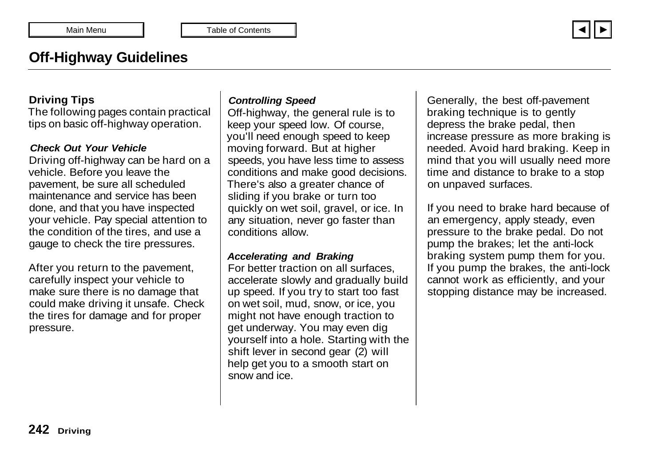# **Off-Highway Guidelines**

#### **Driving Tips**

The following pages contain practical tips on basic off-highway operation.

#### *Check Out Your Vehicle*

Driving off-highway can be hard on a vehicle. Before you leave the pavement, be sure all scheduled maintenance and service has been done, and that you have inspected your vehicle. Pay special attention to the condition of the tires, and use a gauge to check the tire pressures.

After you return to the pavement, carefully inspect your vehicle to make sure there is no damage that could make driving it unsafe. Check the tires for damage and for proper pressure.

#### *Controlling Speed*

Off-highway, the general rule is to keep your speed low. Of course, you'll need enough speed to keep moving forward. But at higher speeds, you have less time to assess conditions and make good decisions. There's also a greater chance of sliding if you brake or turn too quickly on wet soil, gravel, or ice. In any situation, never go faster than conditions allow.

#### *Accelerating and Braking*

For better traction on all surfaces, accelerate slowly and gradually build up speed. If you try to start too fast on wet soil, mud, snow, or ice, you might not have enough traction to get underway. You may even dig yourself into a hole. Starting with the shift lever in second gear (2) will help get you to a smooth start on snow and ice.

Generally, the best off-pavement braking technique is to gently depress the brake pedal, then increase pressure as more braking is needed. Avoid hard braking. Keep in mind that you will usually need more time and distance to brake to a stop on unpaved surfaces.

If you need to brake hard because of an emergency, apply steady, even pressure to the brake pedal. Do not pump the brakes; let the anti-lock braking system pump them for you. If you pump the brakes, the anti-lock cannot work as efficiently, and your stopping distance may be increased.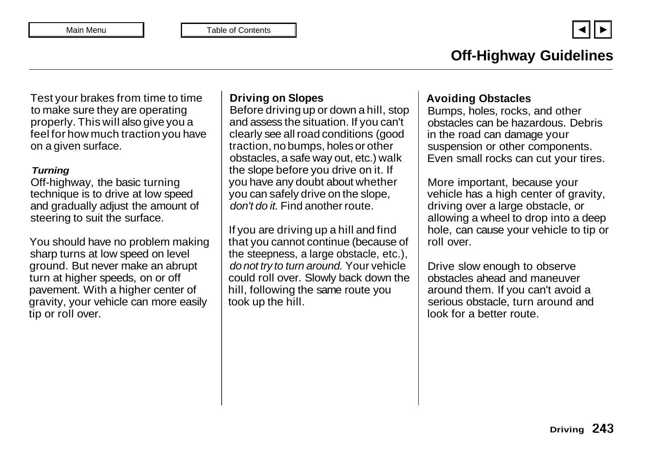Test your brakes from time to time to make sure they are operating properly. This will also give you a feel for how much traction you have on a given surface.

#### *Turning*

Off-highway, the basic turning technique is to drive at low speed and gradually adjust the amount of steering to suit the surface.

You should have no problem making sharp turns at low speed on level ground. But never make an abrupt turn at higher speeds, on or off pavement. With a higher center of gravity, your vehicle can more easily tip or roll over.

### **Driving on Slopes**

Before driving up or down a hill, stop and assess the situation. If you can't clearly see all road conditions (good traction, no bumps, holes or other obstacles, a safe way out, etc.) walk the slope before you drive on it. If you have any doubt about whether you can safely drive on the slope, *don't do it.* Find another route.

If you are driving up a hill and find that you cannot continue (because of the steepness, a large obstacle, etc.), *do not try to turn around.* Your vehicle could roll over. Slowly back down the hill, following the same route you took up the hill.

#### **Avoiding Obstacles**

Bumps, holes, rocks, and other obstacles can be hazardous. Debris in the road can damage your suspension or other components. Even small rocks can cut your tires.

More important, because your vehicle has a high center of gravity, driving over a large obstacle, or allowing a wheel to drop into a deep hole, can cause your vehicle to tip or roll over.

Drive slow enough to observe obstacles ahead and maneuver around them. If you can't avoid a serious obstacle, turn around and look for a better route.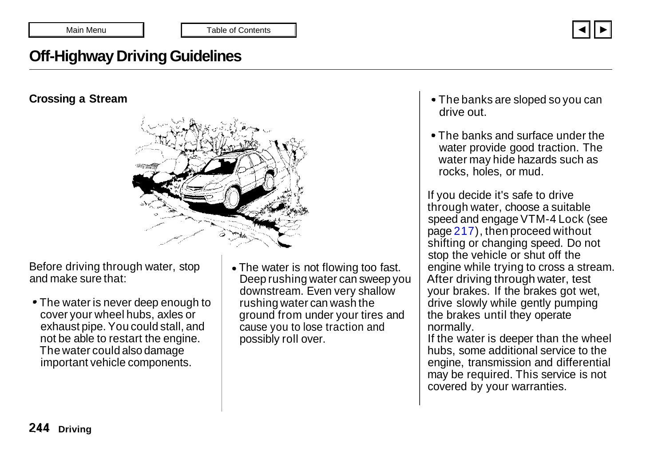

# **Off-Highway Driving Guidelines**

### **Crossing a Stream**



Before driving through water, stop and make sure that:

- The water is never deep enough to cover your wheel hubs, axles or exhaust pipe. You could stall, and not be able to restart the engine. The water could also damage important vehicle components.
- The water is not flowing too fast. Deep rushing water can sweep you downstream. Even very shallow rushing water can wash the ground from under your tires and cause you to lose traction and possibly roll over.
- The banks are sloped so you can drive out.
- The banks and surface under the water provide good traction. The water may hide hazards such as rocks, holes, or mud.

If you decide it's safe to drive through water, choose a suitable speed and engage VTM-4 Lock (see page [217\)](#page-9-0), then proceed without shifting or changing speed. Do not stop the vehicle or shut off the engine while trying to cross a stream. After driving through water, test your brakes. If the brakes got wet, drive slowly while gently pumping the brakes until they operate normally.

If the water is deeper than the wheel hubs, some additional service to the engine, transmission and differential may be required. This service is not covered by your warranties.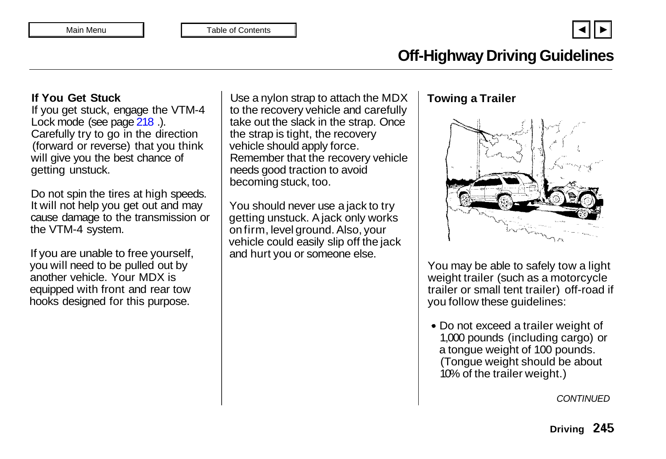# **Off-Highway Driving Guidelines**

### **If You Get Stuck**

If you get stuck, engage the VTM-4 Lock mode (see page 218.). Carefully try to go in the direction (forward or reverse) that you think will give you the best chance of getting unstuck.

Do not spin the tires at high speeds. It will not help you get out and may cause damage to the transmission or the VTM-4 system.

If you are unable to free yourself, you will need to be pulled out by another vehicle. Your MDX is equipped with front and rear tow hooks designed for this purpose.

Use a nylon strap to attach the MDX to the recovery vehicle and carefully take out the slack in the strap. Once the strap is tight, the recovery vehicle should apply force. Remember that the recovery vehicle needs good traction to avoid becoming stuck, too.

You should never use a jack to try getting unstuck. A jack only works on firm, level ground. Also, your vehicle could easily slip off the jack and hurt you or someone else.

# **Towing a Trailer**



You may be able to safely tow a light weight trailer (such as a motorcycle trailer or small tent trailer) off-road if you follow these guidelines:

Do not exceed a trailer weight of 1,000 pounds (including cargo) or a tongue weight of 100 pounds. (Tongue weight should be about 10% of the trailer weight.)

*CONTINUED*